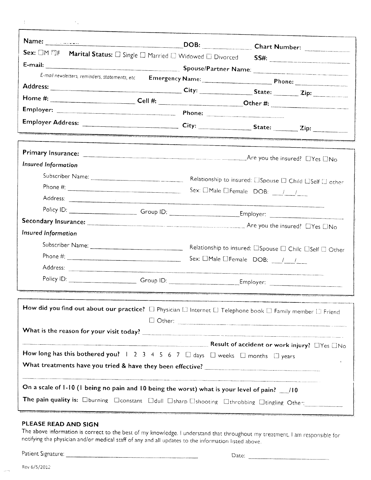| <b>Contract</b> |  |
|-----------------|--|
|                 |  |
|                 |  |

| Sex: OM EF Marital Status: O Single O Married O Widowed O Divorced SS#:                                                                                                            |  |                                                                   |               |  |
|------------------------------------------------------------------------------------------------------------------------------------------------------------------------------------|--|-------------------------------------------------------------------|---------------|--|
|                                                                                                                                                                                    |  |                                                                   |               |  |
|                                                                                                                                                                                    |  |                                                                   |               |  |
|                                                                                                                                                                                    |  |                                                                   |               |  |
|                                                                                                                                                                                    |  |                                                                   |               |  |
|                                                                                                                                                                                    |  |                                                                   |               |  |
|                                                                                                                                                                                    |  |                                                                   |               |  |
|                                                                                                                                                                                    |  |                                                                   |               |  |
| Insured Information                                                                                                                                                                |  |                                                                   |               |  |
|                                                                                                                                                                                    |  | Relationship to insured: ElSpouse El Child ElSelf El other        |               |  |
|                                                                                                                                                                                    |  | Sex: $\Box$ Male $\Box$ Female DOB: $\frac{1}{\Box}$              |               |  |
|                                                                                                                                                                                    |  |                                                                   |               |  |
| Policy ID: Croup ID: Croup ID: Employer: Employer:                                                                                                                                 |  |                                                                   |               |  |
|                                                                                                                                                                                    |  |                                                                   |               |  |
| <b>Insured Information</b>                                                                                                                                                         |  |                                                                   |               |  |
|                                                                                                                                                                                    |  | Relationship to insured: <b>Elspouse El Chilc Elself</b> El Other |               |  |
|                                                                                                                                                                                    |  | Sex: $\Box$ Male $\Box$ Female DOB: $\frac{1}{\Box}$              |               |  |
|                                                                                                                                                                                    |  |                                                                   |               |  |
| Policy ID: Croup ID: Croup ID: Employer:                                                                                                                                           |  |                                                                   |               |  |
| How did you find out about our practice? $\Box$ Physician $\Box$ Internet $\Box$ Telephone book $\Box$ Family member $\Box$ Friend                                                 |  |                                                                   |               |  |
|                                                                                                                                                                                    |  |                                                                   |               |  |
| How long has this bothered you? $1 \ 2 \ 3 \ 4 \ 5 \ 6 \ 7 \ \Box$ days $\Box$ weeks $\Box$ months $\Box$ years                                                                    |  |                                                                   | $\mathcal{L}$ |  |
| On a scale of 1-10 (1 being no pain and 10 being the worst) what is your level of pain? 10<br>The pain quality is: Oburning Oconstant Odull Osharp Oshooting Othrobbing Other Cher |  |                                                                   |               |  |

## PLEASE READ AND SIGN

The above information is correct to the best of my knowledge. I understand that throughout my treatment, I am responsible for notifying the physician and/or medical staff of any and all updates to the information listed ab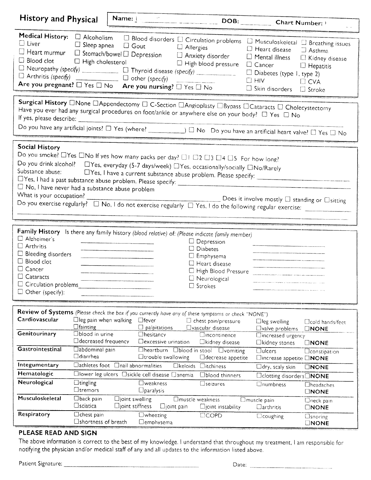| <b>History and Physical</b>                                                                                                                                                                                                                                                                                                                                                                                                                                                                                                                                                                                                                                                                                        |                                                                    |                                              | Name: Name: Name: Name: Name: Name: Name: Name: Name: Name: Name: Name: Name: Name: Name: Name: Name: Name: Name: Name: Name: Name: Name: Name: Name: Name: Name: Name: Name: Name: Name: Name: Name: Name: Name: Name: Name:                                                                                                                                                                                                                                                                                                                                                                                                                                                                                                                                                                                                                                                                                                                                                                                                    |                                                                                                                                                                                                                                                                                                                                                                                                |                                                                 |                                                                     |
|--------------------------------------------------------------------------------------------------------------------------------------------------------------------------------------------------------------------------------------------------------------------------------------------------------------------------------------------------------------------------------------------------------------------------------------------------------------------------------------------------------------------------------------------------------------------------------------------------------------------------------------------------------------------------------------------------------------------|--------------------------------------------------------------------|----------------------------------------------|----------------------------------------------------------------------------------------------------------------------------------------------------------------------------------------------------------------------------------------------------------------------------------------------------------------------------------------------------------------------------------------------------------------------------------------------------------------------------------------------------------------------------------------------------------------------------------------------------------------------------------------------------------------------------------------------------------------------------------------------------------------------------------------------------------------------------------------------------------------------------------------------------------------------------------------------------------------------------------------------------------------------------------|------------------------------------------------------------------------------------------------------------------------------------------------------------------------------------------------------------------------------------------------------------------------------------------------------------------------------------------------------------------------------------------------|-----------------------------------------------------------------|---------------------------------------------------------------------|
|                                                                                                                                                                                                                                                                                                                                                                                                                                                                                                                                                                                                                                                                                                                    |                                                                    |                                              |                                                                                                                                                                                                                                                                                                                                                                                                                                                                                                                                                                                                                                                                                                                                                                                                                                                                                                                                                                                                                                  |                                                                                                                                                                                                                                                                                                                                                                                                |                                                                 |                                                                     |
| <b>Medical History:</b><br>$\Box$ Liver                                                                                                                                                                                                                                                                                                                                                                                                                                                                                                                                                                                                                                                                            | $\Box$ Alcoholism<br>$\Box$ Sleep apnea                            | $\Box$ Gout                                  | □ Blood disorders □ Circulation problems □ Musculoskeletal □ Breathing issues<br>D Allergies<br>$\begin{tabular}{l c c c} \hline \quad \quad & \quad \quad & \quad \quad & \quad \quad & \quad \quad \\ \hline \quad \quad & \quad \quad & \quad \quad & \quad \quad & \quad \quad \\ \hline \quad \quad & \quad \quad & \quad \quad & \quad \quad & \quad \quad \\ \hline \quad \quad & \quad \quad & \quad \quad & \quad \quad & \quad \quad \\ \hline \quad \quad & \quad \quad & \quad \quad & \quad \quad & \quad \quad \\ \hline \quad \quad & \quad \quad & \quad \quad & \quad \quad & \quad \quad \\ \hline \quad \quad & \quad \quad & \quad \quad & \quad \quad & \quad \quad \\ \hline \quad \quad & \quad$<br>$\Box$ Neuropathy (specify) $\Box$ Thyroid disease (specify) $\Box$ Diabetes (type 1, type 2)<br>Are you pregnant? $\square$ Yes $\square$ No Are you nursing? $\square$ Yes $\square$ No<br>Surgical History <b>None DAppendectomy D C-Section DAngioplasty DBypass DCataracts D Cholecystectomy</b> | $\label{eq:4.1} \frac{1}{\sqrt{2\pi}\sqrt{2\pi}\sqrt{2\pi}}\left(\frac{1}{\sqrt{2\pi}\sqrt{2\pi}\sqrt{2\pi}}\sqrt{2\pi\sqrt{2\pi}\sqrt{2\pi}}\sqrt{2\pi\sqrt{2\pi}}\sqrt{2\pi\sqrt{2\pi}}\sqrt{2\pi\sqrt{2\pi}}\sqrt{2\pi\sqrt{2\pi}}\sqrt{2\pi\sqrt{2\pi}}\sqrt{2\pi\sqrt{2\pi}}\sqrt{2\pi\sqrt{2\pi}}\sqrt{2\pi\sqrt{2\pi}}\sqrt{2\pi\sqrt{2\pi}}\sqrt{2\pi\sqrt{2\pi}}\sqrt{2\pi\sqrt{2\pi$ | $\Box$ Heart disease<br>$\Box$ HIV<br>□ Skin disorders □ Stroke | $\Box$ Asthma<br>□ Kidney disease<br>$\Box$ Hepatitis<br>$\Box$ CVA |
|                                                                                                                                                                                                                                                                                                                                                                                                                                                                                                                                                                                                                                                                                                                    |                                                                    |                                              | Have you ever had any surgical procedures on foot/ankle or anywhere else on your body? $\Box$ Yes $\Box$ No                                                                                                                                                                                                                                                                                                                                                                                                                                                                                                                                                                                                                                                                                                                                                                                                                                                                                                                      |                                                                                                                                                                                                                                                                                                                                                                                                |                                                                 |                                                                     |
|                                                                                                                                                                                                                                                                                                                                                                                                                                                                                                                                                                                                                                                                                                                    |                                                                    |                                              |                                                                                                                                                                                                                                                                                                                                                                                                                                                                                                                                                                                                                                                                                                                                                                                                                                                                                                                                                                                                                                  |                                                                                                                                                                                                                                                                                                                                                                                                |                                                                 |                                                                     |
| <b>Social History</b><br>Do you smoke? $\Box$ Yes $\Box$ No If yes how many packs per day? $\Box$ I $\Box$ 2 $\Box$ 3 $\Box$ 4 $\Box$ 5 For how long?<br>Do you drink alcohol?<br><a> <a> UYes, everyday (5-7 days/week)<br/> UYes, occasionally/socially UNo/Rarely</a><br/>Substance abuse:<br/><math>\Box</math> No, I have never had a substance abuse problem<br/>What is your occupation?<br/>Does it involve mostly <math>\square</math> standing or <math>\square</math> sitting<br/>Do you exercise regularly? <math>\Box</math> No, I do not exercise regularly <math>\Box</math> Yes, I do the following regular exercise:</a>                                                                          |                                                                    |                                              |                                                                                                                                                                                                                                                                                                                                                                                                                                                                                                                                                                                                                                                                                                                                                                                                                                                                                                                                                                                                                                  |                                                                                                                                                                                                                                                                                                                                                                                                |                                                                 |                                                                     |
| Family History Is there any family history (blood relative) of: (Please indicate family member)<br>$\Box$ Alzheimer's<br>$\Box$ Depression<br>.<br>Matatat wake kanan kanaa umumiyo ya kata mwana ya Masuuddeen ya kata muu kata bayah data tababu u wanna wana y<br>$\Box$ Arthritis<br>$\Box$ Diabetes<br>$\Box$ Bleeding disorders<br>$\Box$ Emphysema<br>$\Box$ Blood clot<br>$\Box$ Heart disease<br>□ Cancer<br>□ High Blood Pressure <u>New York High Blood</u><br>$\Box$ Cataracts<br>O Neurological<br>.<br>1990-1991 – Andreas Marianne, Francisco alemanistica de la final de la proposició de la catalactica de la prov<br>$\Box$ Circulation problems<br>$\square$ Strokes<br>$\Box$ Other (specify): |                                                                    |                                              |                                                                                                                                                                                                                                                                                                                                                                                                                                                                                                                                                                                                                                                                                                                                                                                                                                                                                                                                                                                                                                  |                                                                                                                                                                                                                                                                                                                                                                                                |                                                                 |                                                                     |
|                                                                                                                                                                                                                                                                                                                                                                                                                                                                                                                                                                                                                                                                                                                    |                                                                    |                                              |                                                                                                                                                                                                                                                                                                                                                                                                                                                                                                                                                                                                                                                                                                                                                                                                                                                                                                                                                                                                                                  |                                                                                                                                                                                                                                                                                                                                                                                                |                                                                 |                                                                     |
| Cardiovascular<br>Genitourinary                                                                                                                                                                                                                                                                                                                                                                                                                                                                                                                                                                                                                                                                                    | $\Box$ leg pain when walking<br>$\Box$ fainting<br>□blood in urine |                                              | Review of Systems (Please check the box if you currently have any of these symptoms or check "NONE")<br>$\Box$ fever<br>$\square$ palpitations<br><b>Chesitancy</b>                                                                                                                                                                                                                                                                                                                                                                                                                                                                                                                                                                                                                                                                                                                                                                                                                                                              | $\square$ chest pain/pressure<br>□vascular disease<br><b>Dincontinence</b>                                                                                                                                                                                                                                                                                                                     | $\Box$ leg swelling<br>□valve problems<br>Dincreased urgency    | □ cold hands/feet<br><b>DNONE</b>                                   |
|                                                                                                                                                                                                                                                                                                                                                                                                                                                                                                                                                                                                                                                                                                                    | D decreased frequency                                              |                                              | Dexcessive urination                                                                                                                                                                                                                                                                                                                                                                                                                                                                                                                                                                                                                                                                                                                                                                                                                                                                                                                                                                                                             | Dkidney disease                                                                                                                                                                                                                                                                                                                                                                                | □kidney stones                                                  | <b>CINONE</b>                                                       |
| Gastrointestinal                                                                                                                                                                                                                                                                                                                                                                                                                                                                                                                                                                                                                                                                                                   | Cabdominal pain<br>$\Box$ diarrhea                                 |                                              | Dheartburn Dblood in stool Dvomiting<br>□trouble swallowing                                                                                                                                                                                                                                                                                                                                                                                                                                                                                                                                                                                                                                                                                                                                                                                                                                                                                                                                                                      | □ decrease appetite                                                                                                                                                                                                                                                                                                                                                                            | $\Box$ ulcers<br>□increase appetite □NONE                       | <b>Constipation</b>                                                 |
| Integumentary                                                                                                                                                                                                                                                                                                                                                                                                                                                                                                                                                                                                                                                                                                      | □athletes foot □nail abnormalities                                 |                                              |                                                                                                                                                                                                                                                                                                                                                                                                                                                                                                                                                                                                                                                                                                                                                                                                                                                                                                                                                                                                                                  | □keloids □itchiness                                                                                                                                                                                                                                                                                                                                                                            | $\Box$ dry, scaly skin                                          | <b>ONONE</b>                                                        |
| Hematologic                                                                                                                                                                                                                                                                                                                                                                                                                                                                                                                                                                                                                                                                                                        |                                                                    |                                              | □lower leg ulcers □sickle cell disease □anemia                                                                                                                                                                                                                                                                                                                                                                                                                                                                                                                                                                                                                                                                                                                                                                                                                                                                                                                                                                                   | <b>I</b> blood thinners                                                                                                                                                                                                                                                                                                                                                                        | □ clotting disorders□NONE                                       |                                                                     |
| Neurological                                                                                                                                                                                                                                                                                                                                                                                                                                                                                                                                                                                                                                                                                                       | $\Box$ tingling<br>$\Box$ tremors                                  |                                              | $\square$ weakness<br>$\Box$ paralysis                                                                                                                                                                                                                                                                                                                                                                                                                                                                                                                                                                                                                                                                                                                                                                                                                                                                                                                                                                                           | <b>Eseizures</b>                                                                                                                                                                                                                                                                                                                                                                               | <b>Inumbness</b>                                                | <b>Cheadaches</b><br><b>UNONE</b>                                   |
| Musculoskeletal                                                                                                                                                                                                                                                                                                                                                                                                                                                                                                                                                                                                                                                                                                    | $\Box$ back pain<br>$\Box$ sciatica                                | $\square$ joint swelling<br>□joint stiffness | $\square$ joint pain                                                                                                                                                                                                                                                                                                                                                                                                                                                                                                                                                                                                                                                                                                                                                                                                                                                                                                                                                                                                             | □muscle weakness<br>$\square$ joint instability                                                                                                                                                                                                                                                                                                                                                | <b>C</b> muscle pain<br>Darthritis                              | <b>C</b> neck pain<br><b>ONONE</b>                                  |
| Respiratory                                                                                                                                                                                                                                                                                                                                                                                                                                                                                                                                                                                                                                                                                                        | $\Box$ chest pain<br>□shortness of breath                          |                                              | $\square$ wheezing<br>□emphysema                                                                                                                                                                                                                                                                                                                                                                                                                                                                                                                                                                                                                                                                                                                                                                                                                                                                                                                                                                                                 | <b>EICOPD</b>                                                                                                                                                                                                                                                                                                                                                                                  | <b>Coughing</b>                                                 | <b>C</b> snoring<br><b>ONONE</b>                                    |

## PLEASE READ AND SIGN

The above information is correct to the best of my knowledge. I understand that throughout my treatment, I am responsible for notifying the physician and/or medical staff of any and all updates to the information listed ab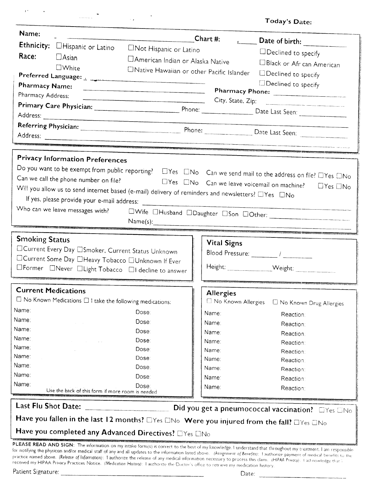|       |  | Today's Date: |
|-------|--|---------------|
| ימרים |  |               |

| Name:                                                                                                                                                                                                                                                                                                                                                                                                                                                                                                                                                                                                                                                                          |                                                                      |                                                                                                   |                    |                                                                                                                                              |  |
|--------------------------------------------------------------------------------------------------------------------------------------------------------------------------------------------------------------------------------------------------------------------------------------------------------------------------------------------------------------------------------------------------------------------------------------------------------------------------------------------------------------------------------------------------------------------------------------------------------------------------------------------------------------------------------|----------------------------------------------------------------------|---------------------------------------------------------------------------------------------------|--------------------|----------------------------------------------------------------------------------------------------------------------------------------------|--|
|                                                                                                                                                                                                                                                                                                                                                                                                                                                                                                                                                                                                                                                                                | Ethnicity: <b>Hispanic or Latino</b>                                 |                                                                                                   | Chart #:           |                                                                                                                                              |  |
| Race:                                                                                                                                                                                                                                                                                                                                                                                                                                                                                                                                                                                                                                                                          | $\Box$ Asian                                                         | <b>CINot Hispanic or Latino</b>                                                                   |                    | □Declined to specify                                                                                                                         |  |
|                                                                                                                                                                                                                                                                                                                                                                                                                                                                                                                                                                                                                                                                                | $\square$ White                                                      | □ American Indian or Alaska Native                                                                |                    | □Black or Afr can American                                                                                                                   |  |
|                                                                                                                                                                                                                                                                                                                                                                                                                                                                                                                                                                                                                                                                                |                                                                      | □ Native Hawaiian or other Pacific Islander                                                       |                    | □Declined to specify                                                                                                                         |  |
| <b>Pharmacy Name:</b>                                                                                                                                                                                                                                                                                                                                                                                                                                                                                                                                                                                                                                                          |                                                                      |                                                                                                   |                    | □Declined to specify                                                                                                                         |  |
| Pharmacy Address:                                                                                                                                                                                                                                                                                                                                                                                                                                                                                                                                                                                                                                                              |                                                                      |                                                                                                   |                    | Pharmacy Phone:                                                                                                                              |  |
|                                                                                                                                                                                                                                                                                                                                                                                                                                                                                                                                                                                                                                                                                |                                                                      |                                                                                                   |                    | City, State, Zip:                                                                                                                            |  |
|                                                                                                                                                                                                                                                                                                                                                                                                                                                                                                                                                                                                                                                                                |                                                                      |                                                                                                   |                    |                                                                                                                                              |  |
|                                                                                                                                                                                                                                                                                                                                                                                                                                                                                                                                                                                                                                                                                |                                                                      |                                                                                                   |                    |                                                                                                                                              |  |
|                                                                                                                                                                                                                                                                                                                                                                                                                                                                                                                                                                                                                                                                                |                                                                      |                                                                                                   |                    |                                                                                                                                              |  |
|                                                                                                                                                                                                                                                                                                                                                                                                                                                                                                                                                                                                                                                                                |                                                                      |                                                                                                   |                    |                                                                                                                                              |  |
|                                                                                                                                                                                                                                                                                                                                                                                                                                                                                                                                                                                                                                                                                | <b>Privacy Information Preferences</b>                               |                                                                                                   |                    |                                                                                                                                              |  |
|                                                                                                                                                                                                                                                                                                                                                                                                                                                                                                                                                                                                                                                                                |                                                                      |                                                                                                   |                    |                                                                                                                                              |  |
|                                                                                                                                                                                                                                                                                                                                                                                                                                                                                                                                                                                                                                                                                | Can we call the phone number on file?                                |                                                                                                   |                    | Do you want to be exempt from public reporting?<br>$\Box$ Yes $\Box$ No $\Box$ Can we send mail to the address on file? $\Box$ Yes $\Box$ No |  |
|                                                                                                                                                                                                                                                                                                                                                                                                                                                                                                                                                                                                                                                                                |                                                                      | $\Box$ Yes $\Box$ No $\Box$ Can we leave voicemail on machine?                                    |                    | $\Box$ Yes $\Box$ No                                                                                                                         |  |
|                                                                                                                                                                                                                                                                                                                                                                                                                                                                                                                                                                                                                                                                                |                                                                      | Will you allow us to send internet based (e-mail) delivery of reminders and newsletters? EYes ENo |                    |                                                                                                                                              |  |
|                                                                                                                                                                                                                                                                                                                                                                                                                                                                                                                                                                                                                                                                                |                                                                      |                                                                                                   |                    |                                                                                                                                              |  |
|                                                                                                                                                                                                                                                                                                                                                                                                                                                                                                                                                                                                                                                                                |                                                                      |                                                                                                   |                    |                                                                                                                                              |  |
|                                                                                                                                                                                                                                                                                                                                                                                                                                                                                                                                                                                                                                                                                |                                                                      |                                                                                                   |                    |                                                                                                                                              |  |
| <b>Smoking Status</b>                                                                                                                                                                                                                                                                                                                                                                                                                                                                                                                                                                                                                                                          |                                                                      |                                                                                                   |                    |                                                                                                                                              |  |
|                                                                                                                                                                                                                                                                                                                                                                                                                                                                                                                                                                                                                                                                                | □Current Every Day □Smoker, Current Status Unknown                   |                                                                                                   | <b>Vital Signs</b> |                                                                                                                                              |  |
|                                                                                                                                                                                                                                                                                                                                                                                                                                                                                                                                                                                                                                                                                | □Current Some Day □Heavy Tobacco □Unknown If Ever                    |                                                                                                   |                    |                                                                                                                                              |  |
|                                                                                                                                                                                                                                                                                                                                                                                                                                                                                                                                                                                                                                                                                | □Former □Never □Light Tobacco □I decline to answer                   |                                                                                                   |                    |                                                                                                                                              |  |
|                                                                                                                                                                                                                                                                                                                                                                                                                                                                                                                                                                                                                                                                                |                                                                      |                                                                                                   |                    |                                                                                                                                              |  |
| <b>Current Medications</b>                                                                                                                                                                                                                                                                                                                                                                                                                                                                                                                                                                                                                                                     |                                                                      |                                                                                                   | <b>Allergies</b>   |                                                                                                                                              |  |
|                                                                                                                                                                                                                                                                                                                                                                                                                                                                                                                                                                                                                                                                                | $\Box$ No Known Medications $\Box$ I take the following medications: |                                                                                                   |                    | □ No Known Allergies □ No Known Drug Allergies                                                                                               |  |
| Name:                                                                                                                                                                                                                                                                                                                                                                                                                                                                                                                                                                                                                                                                          |                                                                      | Dose:                                                                                             | Name:              | Reaction:                                                                                                                                    |  |
| Name:                                                                                                                                                                                                                                                                                                                                                                                                                                                                                                                                                                                                                                                                          |                                                                      | Dose:                                                                                             | Name:              | Reaction:                                                                                                                                    |  |
| Name:                                                                                                                                                                                                                                                                                                                                                                                                                                                                                                                                                                                                                                                                          |                                                                      | Dose:                                                                                             | Name:              | Reaction:                                                                                                                                    |  |
| Name:                                                                                                                                                                                                                                                                                                                                                                                                                                                                                                                                                                                                                                                                          |                                                                      | Dose:                                                                                             | Name:              | Reaction:                                                                                                                                    |  |
| Name:                                                                                                                                                                                                                                                                                                                                                                                                                                                                                                                                                                                                                                                                          |                                                                      | Dose:                                                                                             | Name:              | Reaction:                                                                                                                                    |  |
| Name:<br>Name:                                                                                                                                                                                                                                                                                                                                                                                                                                                                                                                                                                                                                                                                 |                                                                      | Dose:                                                                                             | Name:              | Reaction:                                                                                                                                    |  |
| Name:                                                                                                                                                                                                                                                                                                                                                                                                                                                                                                                                                                                                                                                                          |                                                                      | Dose:                                                                                             | Name:              | Reaction:                                                                                                                                    |  |
| Name:                                                                                                                                                                                                                                                                                                                                                                                                                                                                                                                                                                                                                                                                          |                                                                      | Dose:<br>Dose:                                                                                    | Name:              | Reaction:                                                                                                                                    |  |
|                                                                                                                                                                                                                                                                                                                                                                                                                                                                                                                                                                                                                                                                                | Use the back of this form if more room is needed                     |                                                                                                   | Name:              | Reaction:                                                                                                                                    |  |
| Last Flu Shot Date:<br>Did you get a pneumococcal vaccination? OYes ONo                                                                                                                                                                                                                                                                                                                                                                                                                                                                                                                                                                                                        |                                                                      |                                                                                                   |                    |                                                                                                                                              |  |
| Have you fallen in the last 12 months? Lives LNo Were you injured from the fall? Lives LNo                                                                                                                                                                                                                                                                                                                                                                                                                                                                                                                                                                                     |                                                                      |                                                                                                   |                    |                                                                                                                                              |  |
| Have you completed any Advanced Directives? OYes ONo                                                                                                                                                                                                                                                                                                                                                                                                                                                                                                                                                                                                                           |                                                                      |                                                                                                   |                    |                                                                                                                                              |  |
| PLEASE READ AND SIGN: The information on my intake form(s) is correct to the best of my knowledge. I understand that throughout my treatment. I am responsible<br>for notifying the physician and/or medical staff of any and all updates to the information listed above. (Assignment of Benefits): I authorize payment of medical benefits to the<br>practice named above. (Release of Information): I authorize the release of any medical information necessary to process this claim. (HIPAA Privacy): Facknowledge that i<br>received my HIPAA Privacy Practices Notice. <i>(Medication History)</i> : Lauthorize the Doctor's office to retrieve my medication history. |                                                                      |                                                                                                   |                    |                                                                                                                                              |  |

 $\mathbf{r}^{(n)}$ 

 $\sim$   $\sim$ 

 $\overline{\phantom{0}}$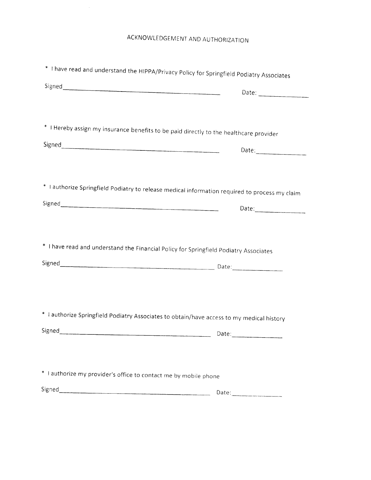| * I have read and understand the HIPPA/Privacy Policy for Springfield Podiatry Associates      |       |
|------------------------------------------------------------------------------------------------|-------|
|                                                                                                | Date: |
|                                                                                                |       |
| * I Hereby assign my insurance benefits to be paid directly to the healthcare provider         |       |
|                                                                                                |       |
|                                                                                                |       |
| * I authorize Springfield Podiatry to release medical information required to process my claim |       |
|                                                                                                | Date: |
|                                                                                                |       |
| * I have read and understand the Financial Policy for Springfield Podiatry Associates          |       |
| Signed Date:                                                                                   |       |
|                                                                                                |       |
|                                                                                                |       |
| * I authorize Springfield Podiatry Associates to obtain/have access to my medical history      |       |
| Signed                                                                                         |       |
|                                                                                                |       |
| * I authorize my provider's office to contact me by mobile phone                               |       |
|                                                                                                | Date: |